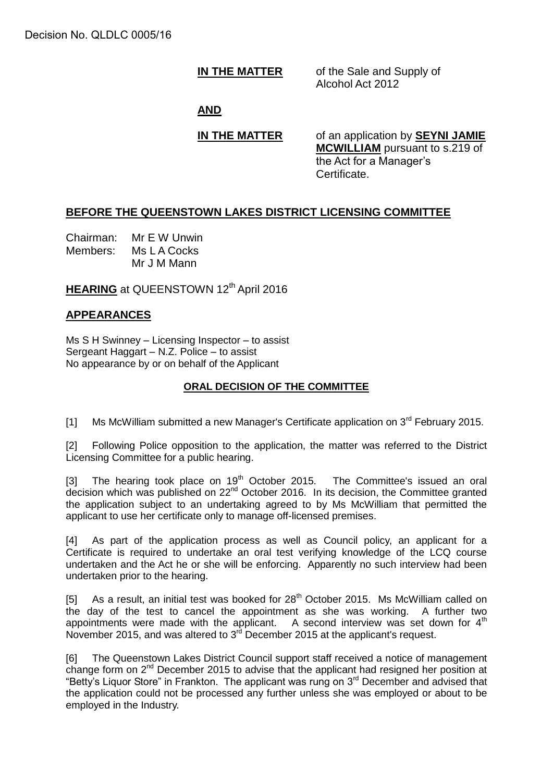# **IN THE MATTER** of the Sale and Supply of

Alcohol Act 2012

### **AND**

**IN THE MATTER** of an application by **SEYNI JAMIE MCWILLIAM** pursuant to s.219 of the Act for a Manager's Certificate.

#### **BEFORE THE QUEENSTOWN LAKES DISTRICT LICENSING COMMITTEE**

Chairman: Mr E W Unwin Members: Ms L A Cocks Mr J M Mann

**HEARING** at QUEENSTOWN 12<sup>th</sup> April 2016

## **APPEARANCES**

Ms S H Swinney – Licensing Inspector – to assist Sergeant Haggart – N.Z. Police – to assist No appearance by or on behalf of the Applicant

#### **ORAL DECISION OF THE COMMITTEE**

[1] Ms McWilliam submitted a new Manager's Certificate application on  $3^{rd}$  February 2015.

[2] Following Police opposition to the application, the matter was referred to the District Licensing Committee for a public hearing.

[3] The hearing took place on  $19<sup>th</sup>$  October 2015. The Committee's issued an oral decision which was published on 22<sup>nd</sup> October 2016. In its decision, the Committee granted the application subject to an undertaking agreed to by Ms McWilliam that permitted the applicant to use her certificate only to manage off-licensed premises.

[4] As part of the application process as well as Council policy, an applicant for a Certificate is required to undertake an oral test verifying knowledge of the LCQ course undertaken and the Act he or she will be enforcing. Apparently no such interview had been undertaken prior to the hearing.

[5] As a result, an initial test was booked for 28<sup>th</sup> October 2015. Ms McWilliam called on the day of the test to cancel the appointment as she was working. A further two appointments were made with the applicant. A second interview was set down for  $4<sup>th</sup>$ November 2015, and was altered to 3<sup>rd</sup> December 2015 at the applicant's request.

[6] The Queenstown Lakes District Council support staff received a notice of management change form on 2nd December 2015 to advise that the applicant had resigned her position at "Betty's Liquor Store" in Frankton. The applicant was rung on 3<sup>rd</sup> December and advised that the application could not be processed any further unless she was employed or about to be employed in the Industry.